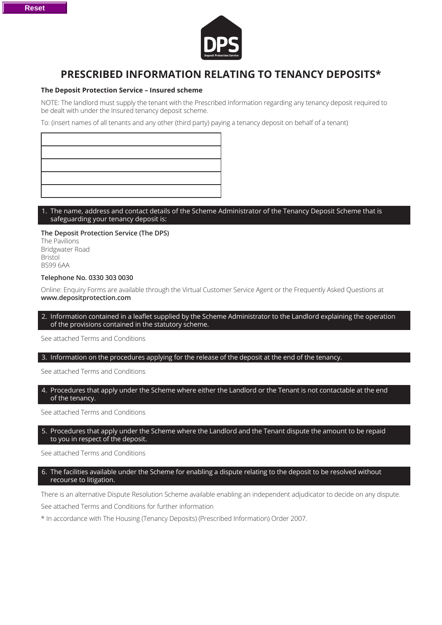

# **PRESCRIBED INFORMATION RELATING TO TENANCY DEPOSITS\***

## **The Deposit Protection Service – Insured scheme**

NOTE: The landlord must supply the tenant with the Prescribed Information regarding any tenancy deposit required to be dealt with under the Insured tenancy deposit scheme.

To: (insert names of all tenants and any other (third party) paying a tenancy deposit on behalf of a tenant)

## 1. The name, address and contact details of the Scheme Administrator of the Tenancy Deposit Scheme that is safeguarding your tenancy deposit is:

### **The Deposit Protection Service (The DPS)**

The Pavilions Bridgwater Road Bristol BS99 6AA

#### **Telephone No. 0330 303 0030**

Online: Enquiry Forms are available through the Virtual Customer Service Agent or the Frequently Asked Questions at **www.depositprotection.com** 

### 2. Information contained in a leaflet supplied by the Scheme Administrator to the Landlord explaining the operation of the provisions contained in the statutory scheme.

See attached Terms and Conditions

# 3. Information on the procedures applying for the release of the deposit at the end of the tenancy.

#### See attached Terms and Conditions

## 4. Procedures that apply under the Scheme where either the Landlord or the Tenant is not contactable at the end of the tenancy.

See attached Terms and Conditions

#### 5. Procedures that apply under the Scheme where the Landlord and the Tenant dispute the amount to be repaid to you in respect of the deposit.

## See attached Terms and Conditions

## 6. The facilities available under the Scheme for enabling a dispute relating to the deposit to be resolved without recourse to litigation.

There is an alternative Dispute Resolution Scheme available enabling an independent adjudicator to decide on any dispute. See attached Terms and Conditions for further information

\* In accordance with The Housing (Tenancy Deposits) (Prescribed Information) Order 2007.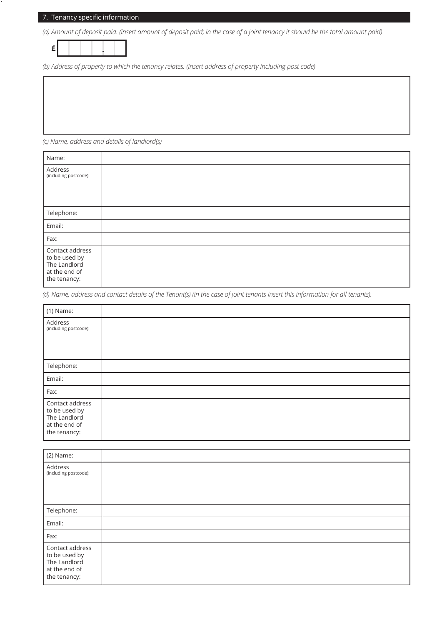# 7. Tenancy specific information

*(a) Amount of deposit paid. (insert amount of deposit paid; in the case of a joint tenancy it should be the total amount paid)* 



*(b) Address of property to which the tenancy relates. (insert address of property including post code)*

*(c) Name, address and details of landlord(s)* 

| Name:                                                                             |  |
|-----------------------------------------------------------------------------------|--|
| Address<br>(including postcode):                                                  |  |
| Telephone:                                                                        |  |
| Email:                                                                            |  |
| Fax:                                                                              |  |
| Contact address<br>to be used by<br>The Landlord<br>at the end of<br>the tenancy: |  |

*(d) Name, address and contact details of the Tenant(s) (in the case of joint tenants insert this information for all tenants).*

| $(1)$ Name:                                                                       |  |
|-----------------------------------------------------------------------------------|--|
| Address<br>(including postcode):                                                  |  |
| Telephone:                                                                        |  |
| Email:                                                                            |  |
| Fax:                                                                              |  |
| Contact address<br>to be used by<br>The Landlord<br>at the end of<br>the tenancy: |  |

| (2) Name:                                                                         |  |
|-----------------------------------------------------------------------------------|--|
| Address<br>(including postcode):                                                  |  |
| Telephone:                                                                        |  |
| Email:                                                                            |  |
| Fax:                                                                              |  |
| Contact address<br>to be used by<br>The Landlord<br>at the end of<br>the tenancy: |  |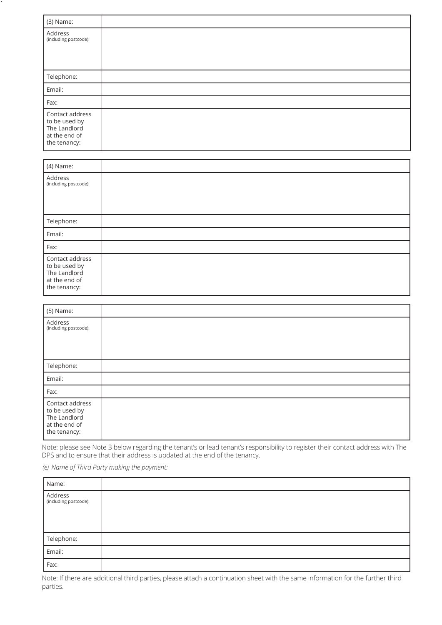| (3) Name:                                                                         |  |
|-----------------------------------------------------------------------------------|--|
| Address<br>(including postcode):                                                  |  |
| Telephone:                                                                        |  |
| Email:                                                                            |  |
| Fax:                                                                              |  |
| Contact address<br>to be used by<br>The Landlord<br>at the end of<br>the tenancy: |  |

| (4) Name:                                                                         |  |
|-----------------------------------------------------------------------------------|--|
| Address<br>(including postcode):                                                  |  |
| Telephone:                                                                        |  |
| Email:                                                                            |  |
| Fax:                                                                              |  |
| Contact address<br>to be used by<br>The Landlord<br>at the end of<br>the tenancy: |  |

| (5) Name:                                                                         |  |
|-----------------------------------------------------------------------------------|--|
| Address<br>(including postcode):                                                  |  |
| Telephone:                                                                        |  |
| Email:                                                                            |  |
| Fax:                                                                              |  |
| Contact address<br>to be used by<br>The Landlord<br>at the end of<br>the tenancy: |  |

Note: please see Note 3 below regarding the tenant's or lead tenant's responsibility to register their contact address with The DPS and to ensure that their address is updated at the end of the tenancy.

*(e) Name of Third Party making the payment:* 

| Name:                            |  |
|----------------------------------|--|
| Address<br>(including postcode): |  |
| Telephone:                       |  |
| Email:                           |  |
| Fax:                             |  |

Note: If there are additional third parties, please attach a continuation sheet with the same information for the further third parties.